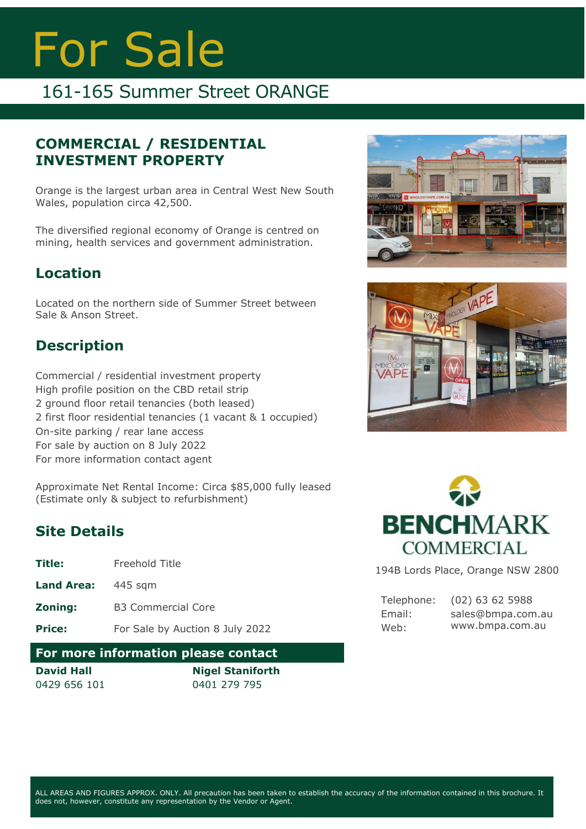# For Sale

## 161-165 Summer Street ORANGE

#### **COMMERCIAL / RESIDENTIAL INVESTMENT PROPERTY**

Orange is the largest urban area in Central West New South Wales, population circa 42,500.

The diversified regional economy of Orange is centred on mining, health services and government administration.

#### **Location**

Located on the northern side of Summer Street between Sale & Anson Street.

### **Description**

Commercial / residential investment property High profile position on the CBD retail strip 2 ground floor retail tenancies (both leased) 2 first floor residential tenancies (1 vacant & 1 occupied) On-site parking / rear lane access For sale by auction on 8 July 2022 For more information contact agent

Approximate Net Rental Income: Circa \$85,000 fully leased (Estimate only & subject to refurbishment)

#### **Site Details**

- **Title:** Freehold Title
- **Land Area:** 445 sqm
- **Zoning:** B3 Commercial Core

**Price:** For Sale by Auction 8 July 2022

#### **For more information please contact**

**David Hall** 0429 656 101

**Nigel Staniforth** 0401 279 795







194B Lords Place, Orange NSW 2800

Telephone: Email: Web: (02) 63 62 5988 sales@bmpa.com.au www.bmpa.com.au